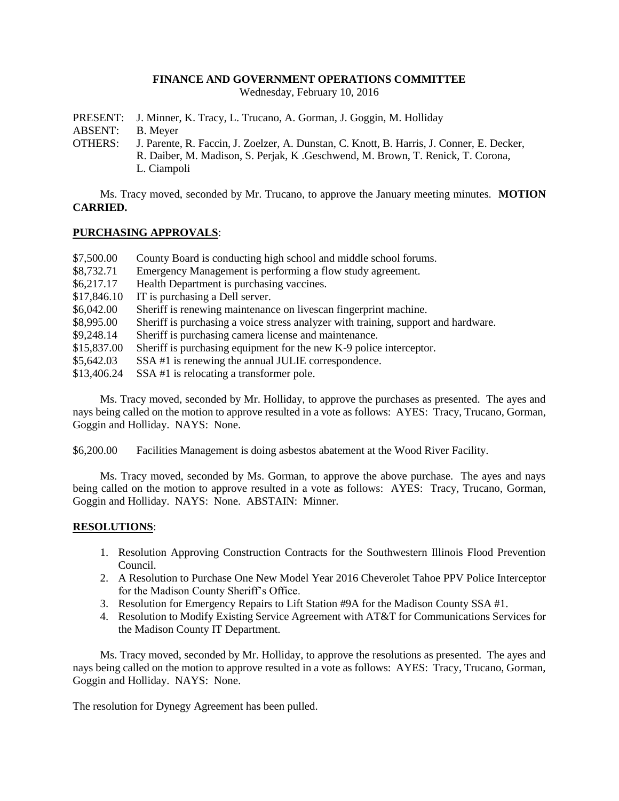### **FINANCE AND GOVERNMENT OPERATIONS COMMITTEE**

Wednesday, February 10, 2016

PRESENT: J. Minner, K. Tracy, L. Trucano, A. Gorman, J. Goggin, M. Holliday

ABSENT: B. Meyer

OTHERS: J. Parente, R. Faccin, J. Zoelzer, A. Dunstan, C. Knott, B. Harris, J. Conner, E. Decker, R. Daiber, M. Madison, S. Perjak, K .Geschwend, M. Brown, T. Renick, T. Corona, L. Ciampoli

Ms. Tracy moved, seconded by Mr. Trucano, to approve the January meeting minutes. **MOTION CARRIED.**

# **PURCHASING APPROVALS**:

| \$7,500.00  | County Board is conducting high school and middle school forums.                   |
|-------------|------------------------------------------------------------------------------------|
| \$8,732.71  | Emergency Management is performing a flow study agreement.                         |
| \$6,217.17  | Health Department is purchasing vaccines.                                          |
| \$17,846.10 | IT is purchasing a Dell server.                                                    |
| \$6,042.00  | Sheriff is renewing maintenance on livescan fingerprint machine.                   |
| \$8,995.00  | Sheriff is purchasing a voice stress analyzer with training, support and hardware. |
| \$9,248.14  | Sheriff is purchasing camera license and maintenance.                              |
| \$15,837.00 | Sheriff is purchasing equipment for the new K-9 police interceptor.                |
| \$5,642.03  | SSA#1 is renewing the annual JULIE correspondence.                                 |
| \$13,406.24 | SSA #1 is relocating a transformer pole.                                           |

Ms. Tracy moved, seconded by Mr. Holliday, to approve the purchases as presented. The ayes and nays being called on the motion to approve resulted in a vote as follows: AYES: Tracy, Trucano, Gorman, Goggin and Holliday. NAYS: None.

\$6,200.00 Facilities Management is doing asbestos abatement at the Wood River Facility.

Ms. Tracy moved, seconded by Ms. Gorman, to approve the above purchase. The ayes and nays being called on the motion to approve resulted in a vote as follows: AYES: Tracy, Trucano, Gorman, Goggin and Holliday. NAYS: None. ABSTAIN: Minner.

# **RESOLUTIONS**:

- 1. Resolution Approving Construction Contracts for the Southwestern Illinois Flood Prevention Council.
- 2. A Resolution to Purchase One New Model Year 2016 Cheverolet Tahoe PPV Police Interceptor for the Madison County Sheriff's Office.
- 3. Resolution for Emergency Repairs to Lift Station #9A for the Madison County SSA #1.
- 4. Resolution to Modify Existing Service Agreement with AT&T for Communications Services for the Madison County IT Department.

Ms. Tracy moved, seconded by Mr. Holliday, to approve the resolutions as presented. The ayes and nays being called on the motion to approve resulted in a vote as follows: AYES: Tracy, Trucano, Gorman, Goggin and Holliday. NAYS: None.

The resolution for Dynegy Agreement has been pulled.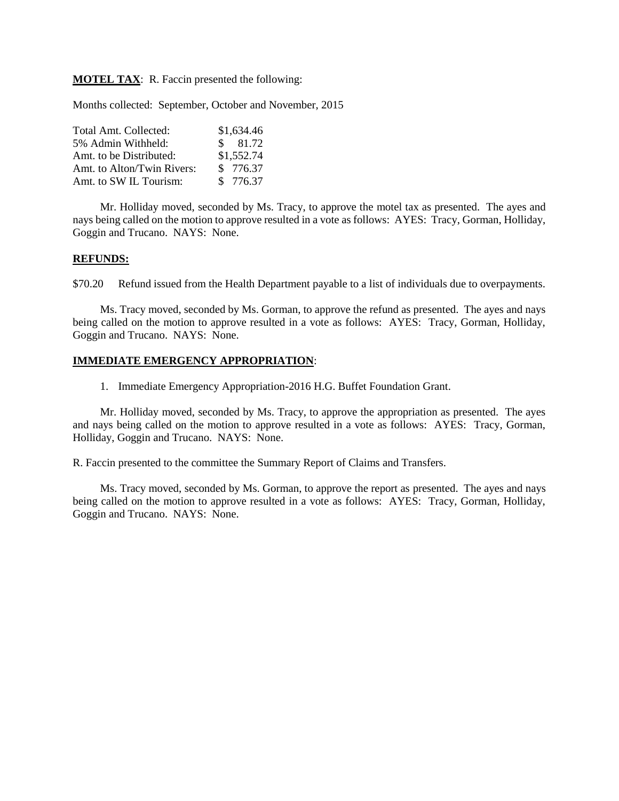**MOTEL TAX**: R. Faccin presented the following:

Months collected: September, October and November, 2015

| Total Amt. Collected:      | \$1,634.46 |
|----------------------------|------------|
| 5% Admin Withheld:         | \$81.72    |
| Amt. to be Distributed:    | \$1,552.74 |
| Amt. to Alton/Twin Rivers: | \$ 776.37  |
| Amt. to SW IL Tourism:     | \$ 776.37  |

Mr. Holliday moved, seconded by Ms. Tracy, to approve the motel tax as presented. The ayes and nays being called on the motion to approve resulted in a vote as follows: AYES: Tracy, Gorman, Holliday, Goggin and Trucano. NAYS: None.

#### **REFUNDS:**

\$70.20 Refund issued from the Health Department payable to a list of individuals due to overpayments.

Ms. Tracy moved, seconded by Ms. Gorman, to approve the refund as presented. The ayes and nays being called on the motion to approve resulted in a vote as follows: AYES: Tracy, Gorman, Holliday, Goggin and Trucano. NAYS: None.

#### **IMMEDIATE EMERGENCY APPROPRIATION**:

1. Immediate Emergency Appropriation-2016 H.G. Buffet Foundation Grant.

Mr. Holliday moved, seconded by Ms. Tracy, to approve the appropriation as presented. The ayes and nays being called on the motion to approve resulted in a vote as follows: AYES: Tracy, Gorman, Holliday, Goggin and Trucano. NAYS: None.

R. Faccin presented to the committee the Summary Report of Claims and Transfers.

Ms. Tracy moved, seconded by Ms. Gorman, to approve the report as presented. The ayes and nays being called on the motion to approve resulted in a vote as follows: AYES: Tracy, Gorman, Holliday, Goggin and Trucano. NAYS: None.